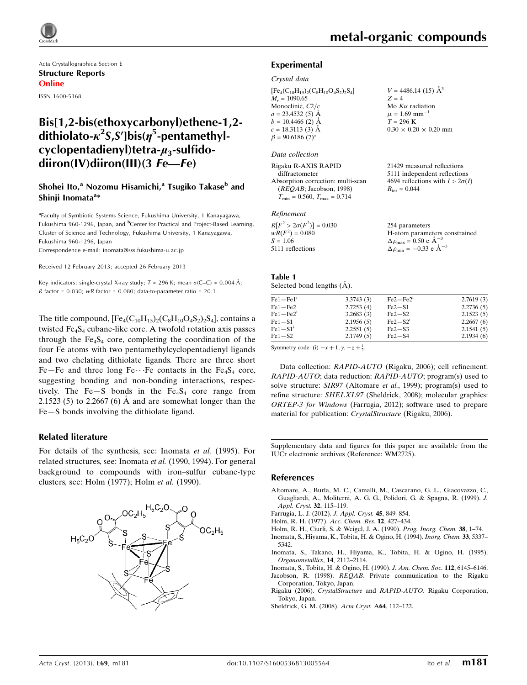

Acta Crystallographica Section E Structure Reports Online ISSN 1600-5368

## Bis[1,2-bis(ethoxycarbonyl)ethene-1,2 dithiolato- $\kappa^2$ S,S']bis( $\eta^5$ -pentamethylcyclopentadienyl)tetra- $\mu_3$ -sulfidodiiron(IV)diiron(III)(3 Fe—Fe)

### Shohei Ito,<sup>a</sup> Nozomu Hisamichi,<sup>a</sup> Tsugiko Takase<sup>b</sup> and Shinji Inomata<sup>a</sup>\*

<sup>a</sup>Faculty of Symbiotic Systems Science, Fukushima University, 1 Kanayagawa, Fukushima 960-1296, Japan, and <sup>b</sup>Center for Practical and Project-Based Learning, Cluster of Science and Technology, Fukushima University, 1 Kanayagawa, Fukushima 960-1296, Japan

Correspondence e-mail: [inomata@sss.fukushima-u.ac.jp](https://scripts.iucr.org/cgi-bin/cr.cgi?rm=pdfbb&cnor=wm2725&bbid=BB10)

Received 12 February 2013; accepted 26 February 2013

Key indicators: single-crystal X-ray study;  $T = 296$  K; mean  $\sigma$ (C–C) = 0.004 Å;  $R$  factor = 0.030; wR factor = 0.080; data-to-parameter ratio = 20.1.

The title compound,  $[Fe_4(C_{10}H_{15})_2(C_8H_{10}O_4S_2)_2S_4]$ , contains a twisted Fe<sub>4</sub>S<sub>4</sub> cubane-like core. A twofold rotation axis passes through the  $Fe<sub>4</sub>S<sub>4</sub>$  core, completing the coordination of the four Fe atoms with two pentamethylcyclopentadienyl ligands and two chelating dithiolate ligands. There are three short Fe–Fe and three long Fe $\cdots$  Fe contacts in the Fe<sub>4</sub>S<sub>4</sub> core, suggesting bonding and non-bonding interactions, respectively. The Fe-S bonds in the  $Fe<sub>4</sub>S<sub>4</sub>$  core range from 2.1523 (5) to 2.2667 (6)  $\AA$  and are somewhat longer than the Fe—S bonds involving the dithiolate ligand.

### Related literature

For details of the synthesis, see: Inomata et al. (1995). For related structures, see: Inomata et al. (1990, 1994). For general background to compounds with iron–sulfur cubane-type clusters, see: Holm (1977); Holm et al. (1990).



 $V = 4486.14(15)$   $\AA^3$ 

 $0.30 \times 0.20 \times 0.20$  mm

21429 measured reflections 5111 independent reflections 4694 reflections with  $I > 2\sigma(I)$ 

Mo  $K\alpha$  radiation  $\mu = 1.69$  mm<sup>-1</sup>  $T = 296 K$ 

 $R_{\text{int}} = 0.044$ 

 $Z = 4$ 

### Experimental

### Crystal data

 $[Fe_4(C_{10}H_{15})_2(C_8H_{10}O_4S_2)_2S_4]$  $M_r = 1090.65$ Monoclinic,  $C2/c$  $a = 23.4532(5)$  Å  $b = 10.4466$  (2) Å  $c = 18.3113(3)$  Å  $\beta = 90.6186$  (7)<sup>o</sup>

### Data collection

Rigaku R-AXIS RAPID diffractometer Absorption correction: multi-scan (REQAB; Jacobson, 1998)  $T_{\text{min}} = 0.560, T_{\text{max}} = 0.714$ 

#### Refinement

| $R[F^2 > 2\sigma(F^2)] = 0.030$ | 254 parameters                                     |
|---------------------------------|----------------------------------------------------|
| $wR(F^2) = 0.080$               | H-atom parameters constrained                      |
| $S = 1.06$                      | $\Delta \rho_{\text{max}} = 0.50 \text{ e A}^{-3}$ |
| 5111 reflections                | $\Delta \rho_{\text{min}} = -0.33$ e $\AA^{-3}$    |

| Table 1                    |  |  |
|----------------------------|--|--|
| Selected bond lengths (A). |  |  |

| $Fe1 - Fe1'$ | 3.3743(3) | $Fe2 - Fe2$ <sup>1</sup> | 2.7619(3) |
|--------------|-----------|--------------------------|-----------|
| $Fe1 - Fe2$  | 2.7253(4) | $Fe2-S1$                 | 2.2736(5) |
| $Fe1 - Fe21$ | 3.2683(3) | $Fe2-S2$                 | 2.1523(5) |
| $Fe1-S1$     | 2.1956(5) | $Fe2-S2$ <sup>1</sup>    | 2.2667(6) |
| $Fe1-S1i$    | 2.2551(5) | $Fe2-S3$                 | 2.1541(5) |
| $Fe1-S2$     | 2.1749(5) | $Fe2-S4$                 | 2.1934(6) |

Symmetry code: (i)  $-x + 1$ ,  $y$ ,  $-z + \frac{1}{2}$ .

Data collection: RAPID-AUTO (Rigaku, 2006); cell refinement: RAPID-AUTO; data reduction: RAPID-AUTO; program(s) used to solve structure: SIR97 (Altomare et al., 1999); program(s) used to refine structure: SHELXL97 (Sheldrick, 2008); molecular graphics: ORTEP-3 for Windows (Farrugia, 2012); software used to prepare material for publication: CrystalStructure (Rigaku, 2006).

Supplementary data and figures for this paper are available from the IUCr electronic archives (Reference: WM2725).

### References

- [Altomare, A., Burla, M. C., Camalli, M., Cascarano, G. L., Giacovazzo, C.,](https://scripts.iucr.org/cgi-bin/cr.cgi?rm=pdfbb&cnor=wm2725&bbid=BB1) [Guagliardi, A., Moliterni, A. G. G., Polidori, G. & Spagna, R. \(1999\).](https://scripts.iucr.org/cgi-bin/cr.cgi?rm=pdfbb&cnor=wm2725&bbid=BB1) J. [Appl. Cryst.](https://scripts.iucr.org/cgi-bin/cr.cgi?rm=pdfbb&cnor=wm2725&bbid=BB1) 32, 115-119.
- [Farrugia, L. J. \(2012\).](https://scripts.iucr.org/cgi-bin/cr.cgi?rm=pdfbb&cnor=wm2725&bbid=BB2) J. Appl. Cryst. 45, 849–854.
- [Holm, R. H. \(1977\).](https://scripts.iucr.org/cgi-bin/cr.cgi?rm=pdfbb&cnor=wm2725&bbid=BB3) Acc. Chem. Res. 12, 427–434.
- [Holm, R. H., Ciurli, S. & Weigel, J. A. \(1990\).](https://scripts.iucr.org/cgi-bin/cr.cgi?rm=pdfbb&cnor=wm2725&bbid=BB4) Prog. Inorg. Chem. 38, 1–74. [Inomata, S., Hiyama, K., Tobita, H. & Ogino, H. \(1994\).](https://scripts.iucr.org/cgi-bin/cr.cgi?rm=pdfbb&cnor=wm2725&bbid=BB5) Inorg. Chem. 33, 5337– [5342.](https://scripts.iucr.org/cgi-bin/cr.cgi?rm=pdfbb&cnor=wm2725&bbid=BB5)
- [Inomata, S., Takano, H., Hiyama, K., Tobita, H. & Ogino, H. \(1995\).](https://scripts.iucr.org/cgi-bin/cr.cgi?rm=pdfbb&cnor=wm2725&bbid=BB6) [Organometallics](https://scripts.iucr.org/cgi-bin/cr.cgi?rm=pdfbb&cnor=wm2725&bbid=BB6), 14, 2112–2114.
- [Inomata, S., Tobita, H. & Ogino, H. \(1990\).](https://scripts.iucr.org/cgi-bin/cr.cgi?rm=pdfbb&cnor=wm2725&bbid=BB7) J. Am. Chem. Soc. 112, 6145–6146.
- Jacobson, R. (1998). REOAB[. Private communication to the Rigaku](https://scripts.iucr.org/cgi-bin/cr.cgi?rm=pdfbb&cnor=wm2725&bbid=BB8) [Corporation, Tokyo, Japan.](https://scripts.iucr.org/cgi-bin/cr.cgi?rm=pdfbb&cnor=wm2725&bbid=BB8)
- Rigaku (2006). CrystalStructure and RAPID-AUTO[. Rigaku Corporation,](https://scripts.iucr.org/cgi-bin/cr.cgi?rm=pdfbb&cnor=wm2725&bbid=BB9) [Tokyo, Japan.](https://scripts.iucr.org/cgi-bin/cr.cgi?rm=pdfbb&cnor=wm2725&bbid=BB9)
- [Sheldrick, G. M. \(2008\).](https://scripts.iucr.org/cgi-bin/cr.cgi?rm=pdfbb&cnor=wm2725&bbid=BB10) Acta Cryst. A64, 112–122.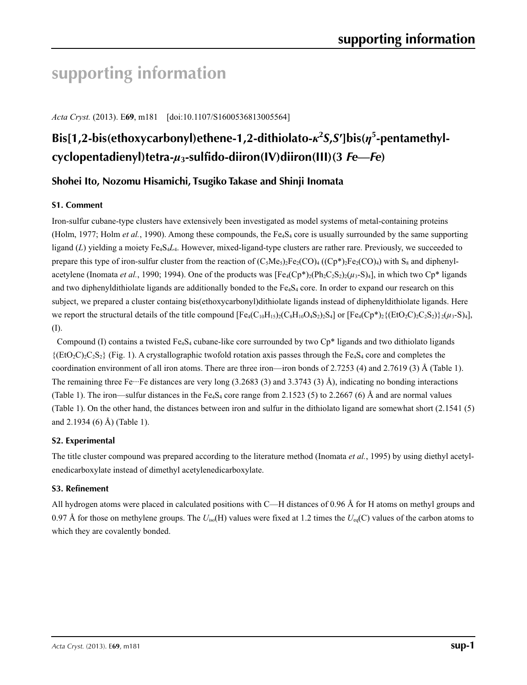# **supporting information**

*Acta Cryst.* (2013). E**69**, m181 [doi:10.1107/S1600536813005564]

## **Bis[1,2-bis(ethoxycarbonyl)ethene-1,2-dithiolato-***κ***<sup>2</sup>** *S***,***S***′]bis(***η***<sup>5</sup> -pentamethylcyclopentadienyl)tetra-***µ***3-sulfido-diiron(IV)diiron(III)(3** *Fe***—***Fe***)**

## **Shohei Ito, Nozomu Hisamichi, Tsugiko Takase and Shinji Inomata**

### **S1. Comment**

Iron-sulfur cubane-type clusters have extensively been investigated as model systems of metal-containing proteins (Holm, 1977; Holm *et al.*, 1990). Among these compounds, the  $Fe_4S_4$  core is usually surrounded by the same supporting ligand (*L*) yielding a moiety Fe<sub>4</sub>S<sub>4</sub>*L*<sub>4</sub>. However, mixed-ligand-type clusters are rather rare. Previously, we succeeded to prepare this type of iron-sulfur cluster from the reaction of  $(C_5Me_5)_2Fe_2(CO)_4$  ( $(Cp^*)_2Fe_2(CO)_4$ ) with  $S_8$  and diphenylacetylene (Inomata *et al.*, 1990; 1994). One of the products was  $[Fe_4(Cp^*)_2(Ph_2C_2S_2)_2(\mu_3-S)_4]$ , in which two Cp<sup>\*</sup> ligands and two diphenyldithiolate ligands are additionally bonded to the  $Fe<sub>4</sub>S<sub>4</sub>$  core. In order to expand our research on this subject, we prepared a cluster containg bis(ethoxycarbonyl)dithiolate ligands instead of diphenyldithiolate ligands. Here we report the structural details of the title compound  $[Fe_4(C_{10}H_{15})_2(C_8H_{10}O_4S_2)_2S_4]$  or  $[Fe_4(Cp^*)_2\{(EtO_2C_2C_2S_2)\}_2(\mu_3-S)_4]$ , (I).

Compound (I) contains a twisted Fe<sub>4</sub>S<sub>4</sub> cubane-like core surrounded by two Cp<sup>\*</sup> ligands and two dithiolato ligands  ${({EtO_2C}_2C_2S_2)}$  (Fig. 1). A crystallographic twofold rotation axis passes through the Fe<sub>4</sub>S<sub>4</sub> core and completes the coordination environment of all iron atoms. There are three iron—iron bonds of 2.7253 (4) and 2.7619 (3) Å (Table 1). The remaining three Fe $\cdot\cdot$ -Fe distances are very long (3.2683 (3) and 3.3743 (3) Å), indicating no bonding interactions (Table 1). The iron—sulfur distances in the Fe<sub>4</sub>S<sub>4</sub> core range from 2.1523 (5) to 2.2667 (6) Å and are normal values (Table 1). On the other hand, the distances between iron and sulfur in the dithiolato ligand are somewhat short (2.1541 (5) and 2.1934 (6) Å) (Table 1).

### **S2. Experimental**

The title cluster compound was prepared according to the literature method (Inomata *et al.*, 1995) by using diethyl acetylenedicarboxylate instead of dimethyl acetylenedicarboxylate.

### **S3. Refinement**

All hydrogen atoms were placed in calculated positions with C—H distances of 0.96 Å for H atoms on methyl groups and 0.97 Å for those on methylene groups. The  $U_{iso}(H)$  values were fixed at 1.2 times the  $U_{eq}(C)$  values of the carbon atoms to which they are covalently bonded.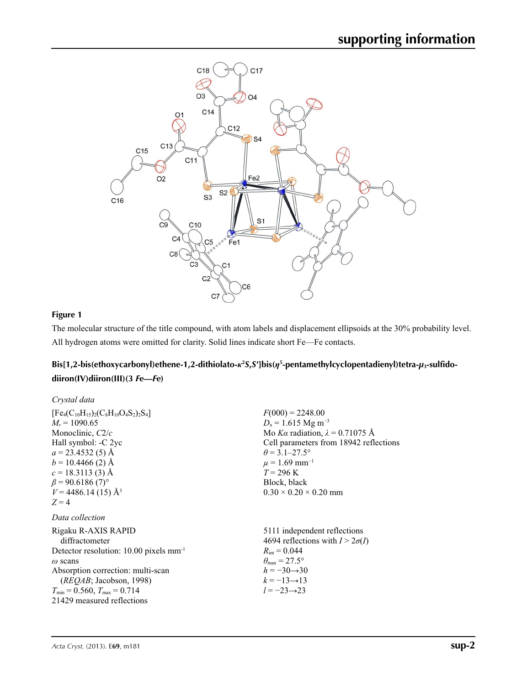

## **Figure 1**

The molecular structure of the title compound, with atom labels and displacement ellipsoids at the 30% probability level. All hydrogen atoms were omitted for clarity. Solid lines indicate short Fe—Fe contacts.

## **Bis[1,2-bis(ethoxycarbonyl)ethene-1,2-dithiolato-***κ***<sup>2</sup>** *S***,***S***′]bis(***η***<sup>5</sup> -pentamethylcyclopentadienyl)tetra-***µ***3-sulfidodiiron(IV)diiron(III)(3** *Fe***—***Fe***)**

| Crystal data                                                                                                                                                                                                                                                           |                                                                                                                                                                                                                                                                         |
|------------------------------------------------------------------------------------------------------------------------------------------------------------------------------------------------------------------------------------------------------------------------|-------------------------------------------------------------------------------------------------------------------------------------------------------------------------------------------------------------------------------------------------------------------------|
| $[Fe_4(C_{10}H_{15})_2(C_8H_{10}O_4S_2)_2S_4]$<br>$M_r = 1090.65$<br>Monoclinic, $C2/c$<br>Hall symbol: -C 2yc<br>$a = 23.4532(5)$ Å<br>$b = 10.4466$ (2) Å<br>$c = 18.3113(3)$ Å<br>$\beta$ = 90.6186 (7) <sup>o</sup><br>$V = 4486.14(15)$ Å <sup>3</sup><br>$Z = 4$ | $F(000) = 2248.00$<br>$D_x = 1.615$ Mg m <sup>-3</sup><br>Mo Ka radiation, $\lambda = 0.71075$ Å<br>Cell parameters from 18942 reflections<br>$\theta$ = 3.1–27.5°<br>$\mu = 1.69$ mm <sup>-1</sup><br>$T = 296$ K<br>Block, black<br>$0.30 \times 0.20 \times 0.20$ mm |
| Data collection                                                                                                                                                                                                                                                        |                                                                                                                                                                                                                                                                         |
| Rigaku R-AXIS RAPID<br>diffractometer<br>Detector resolution: $10.00$ pixels mm <sup>-1</sup><br>$\omega$ scans<br>Absorption correction: multi-scan<br>(REQAB; Jacobson, 1998)<br>$T_{\min}$ = 0.560, $T_{\max}$ = 0.714<br>21429 measured reflections                | 5111 independent reflections<br>4694 reflections with $I > 2\sigma(I)$<br>$R_{\text{int}} = 0.044$<br>$\theta_{\text{max}} = 27.5^{\circ}$<br>$h = -30 \rightarrow 30$<br>$k = -13 \rightarrow 13$<br>$l = -23 \rightarrow 23$                                          |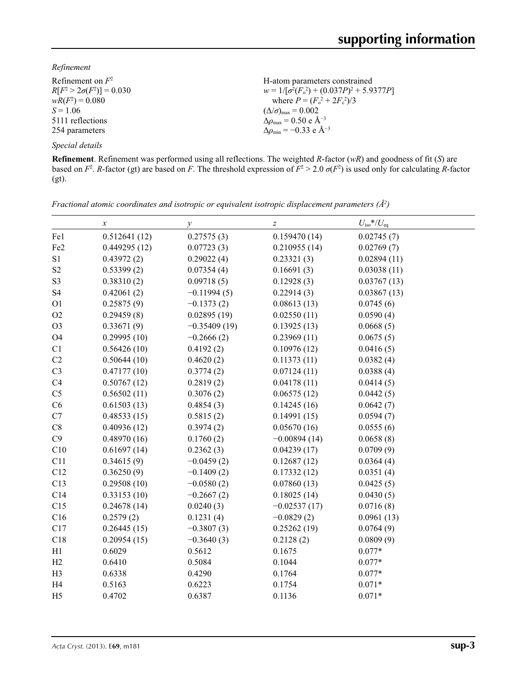*Refinement*

| Refinement on $F^2$             | H-atom parameters constrained                     |
|---------------------------------|---------------------------------------------------|
| $R[F^2 > 2\sigma(F^2)] = 0.030$ | $w = 1/[\sigma^2(F_0^2) + (0.037P)^2 + 5.9377P]$  |
| $wR(F^2) = 0.080$               | where $P = (F_o^2 + 2F_c^2)/3$                    |
| $S = 1.06$                      | $(\Delta/\sigma)_{\text{max}} = 0.002$            |
| 5111 reflections                | $\Delta \rho_{\rm max} = 0.50 \text{ e A}^{-3}$   |
| 254 parameters                  | $\Delta \rho_{\rm min} = -0.33$ e Å <sup>-3</sup> |
| Special details                 |                                                   |

**Refinement**. Refinement was performed using all reflections. The weighted *R*-factor (*wR*) and goodness of fit (*S*) are based on  $F^2$ . *R*-factor (gt) are based on *F*. The threshold expression of  $F^2 > 2.0$   $\sigma(F^2)$  is used only for calculating *R*-factor (gt).

|                 | $\boldsymbol{x}$ | $\mathcal{Y}$  | $\boldsymbol{Z}$ | $U_{\rm iso}*/U_{\rm eq}$ |
|-----------------|------------------|----------------|------------------|---------------------------|
| Fe1             | 0.512641(12)     | 0.27575(3)     | 0.159470(14)     | 0.02745(7)                |
| Fe <sub>2</sub> | 0.449295(12)     | 0.07723(3)     | 0.210955(14)     | 0.02769(7)                |
| S1              | 0.43972(2)       | 0.29022(4)     | 0.23321(3)       | 0.02894(11)               |
| S <sub>2</sub>  | 0.53399(2)       | 0.07354(4)     | 0.16691(3)       | 0.03038(11)               |
| S <sub>3</sub>  | 0.38310(2)       | 0.09718(5)     | 0.12928(3)       | 0.03767(13)               |
| S <sub>4</sub>  | 0.42061(2)       | $-0.11994(5)$  | 0.22914(3)       | 0.03867(13)               |
| O <sub>1</sub>  | 0.25875(9)       | $-0.1373(2)$   | 0.08613(13)      | 0.0745(6)                 |
| O <sub>2</sub>  | 0.29459(8)       | 0.02895(19)    | 0.02550(11)      | 0.0590(4)                 |
| O <sub>3</sub>  | 0.33671(9)       | $-0.35409(19)$ | 0.13925(13)      | 0.0668(5)                 |
| <b>O4</b>       | 0.29995(10)      | $-0.2666(2)$   | 0.23969(11)      | 0.0675(5)                 |
| C1              | 0.56426(10)      | 0.4192(2)      | 0.10976(12)      | 0.0416(5)                 |
| C2              | 0.50644(10)      | 0.4620(2)      | 0.11373(11)      | 0.0382(4)                 |
| C <sub>3</sub>  | 0.47177(10)      | 0.3774(2)      | 0.07124(11)      | 0.0388(4)                 |
| C4              | 0.50767(12)      | 0.2819(2)      | 0.04178(11)      | 0.0414(5)                 |
| C <sub>5</sub>  | 0.56502(11)      | 0.3076(2)      | 0.06575(12)      | 0.0442(5)                 |
| C6              | 0.61503(13)      | 0.4854(3)      | 0.14245(16)      | 0.0642(7)                 |
| C7              | 0.48533(15)      | 0.5815(2)      | 0.14991(15)      | 0.0594(7)                 |
| $\rm C8$        | 0.40936(12)      | 0.3974(2)      | 0.05670(16)      | 0.0555(6)                 |
| C9              | 0.48970(16)      | 0.1760(2)      | $-0.00894(14)$   | 0.0658(8)                 |
| C10             | 0.61697(14)      | 0.2362(3)      | 0.04239(17)      | 0.0709(9)                 |
| C11             | 0.34615(9)       | $-0.0459(2)$   | 0.12687(12)      | 0.0364(4)                 |
| C12             | 0.36250(9)       | $-0.1409(2)$   | 0.17332(12)      | 0.0351(4)                 |
| C13             | 0.29508(10)      | $-0.0580(2)$   | 0.07860(13)      | 0.0425(5)                 |
| C14             | 0.33153(10)      | $-0.2667(2)$   | 0.18025(14)      | 0.0430(5)                 |
| C15             | 0.24678(14)      | 0.0240(3)      | $-0.02537(17)$   | 0.0716(8)                 |
| C16             | 0.2579(2)        | 0.1231(4)      | $-0.0829(2)$     | 0.0961(13)                |
| C17             | 0.26445(15)      | $-0.3807(3)$   | 0.25262(19)      | 0.0764(9)                 |
| C18             | 0.20954(15)      | $-0.3640(3)$   | 0.2128(2)        | 0.0809(9)                 |
| H1              | 0.6029           | 0.5612         | 0.1675           | $0.077*$                  |
| H2              | 0.6410           | 0.5084         | 0.1044           | $0.077*$                  |
| H <sub>3</sub>  | 0.6338           | 0.4290         | 0.1764           | $0.077*$                  |
| H <sub>4</sub>  | 0.5163           | 0.6223         | 0.1754           | $0.071*$                  |
| H <sub>5</sub>  | 0.4702           | 0.6387         | 0.1136           | $0.071*$                  |

*Fractional atomic coordinates and isotropic or equivalent isotropic displacement parameters (Å2 )*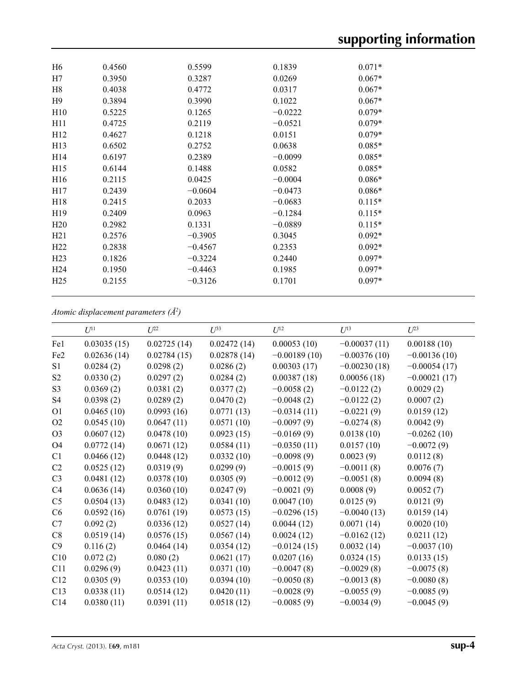| H <sub>6</sub>  | 0.4560 | 0.5599    | 0.1839    | $0.071*$ |  |
|-----------------|--------|-----------|-----------|----------|--|
| H7              | 0.3950 | 0.3287    | 0.0269    | $0.067*$ |  |
| H <sub>8</sub>  | 0.4038 | 0.4772    | 0.0317    | $0.067*$ |  |
| H <sub>9</sub>  | 0.3894 | 0.3990    | 0.1022    | $0.067*$ |  |
| H10             | 0.5225 | 0.1265    | $-0.0222$ | $0.079*$ |  |
| H11             | 0.4725 | 0.2119    | $-0.0521$ | $0.079*$ |  |
| H <sub>12</sub> | 0.4627 | 0.1218    | 0.0151    | $0.079*$ |  |
| H <sub>13</sub> | 0.6502 | 0.2752    | 0.0638    | $0.085*$ |  |
| H14             | 0.6197 | 0.2389    | $-0.0099$ | $0.085*$ |  |
| H15             | 0.6144 | 0.1488    | 0.0582    | $0.085*$ |  |
| H <sub>16</sub> | 0.2115 | 0.0425    | $-0.0004$ | $0.086*$ |  |
| H17             | 0.2439 | $-0.0604$ | $-0.0473$ | $0.086*$ |  |
| H18             | 0.2415 | 0.2033    | $-0.0683$ | $0.115*$ |  |
| H <sub>19</sub> | 0.2409 | 0.0963    | $-0.1284$ | $0.115*$ |  |
| H20             | 0.2982 | 0.1331    | $-0.0889$ | $0.115*$ |  |
| H21             | 0.2576 | $-0.3905$ | 0.3045    | $0.092*$ |  |
| H22             | 0.2838 | $-0.4567$ | 0.2353    | $0.092*$ |  |
| H <sub>23</sub> | 0.1826 | $-0.3224$ | 0.2440    | $0.097*$ |  |
| H <sub>24</sub> | 0.1950 | $-0.4463$ | 0.1985    | $0.097*$ |  |
| H <sub>25</sub> | 0.2155 | $-0.3126$ | 0.1701    | $0.097*$ |  |
|                 |        |           |           |          |  |

## *Atomic displacement parameters (Å2 )*

|                 | $U^{11}$    | $L^{22}$    | $U^{33}$    | $U^{12}$       | $U^{13}$       | $L^{23}$       |
|-----------------|-------------|-------------|-------------|----------------|----------------|----------------|
| Fe1             | 0.03035(15) | 0.02725(14) | 0.02472(14) | 0.00053(10)    | $-0.00037(11)$ | 0.00188(10)    |
| Fe <sub>2</sub> | 0.02636(14) | 0.02784(15) | 0.02878(14) | $-0.00189(10)$ | $-0.00376(10)$ | $-0.00136(10)$ |
| S <sub>1</sub>  | 0.0284(2)   | 0.0298(2)   | 0.0286(2)   | 0.00303(17)    | $-0.00230(18)$ | $-0.00054(17)$ |
| S <sub>2</sub>  | 0.0330(2)   | 0.0297(2)   | 0.0284(2)   | 0.00387(18)    | 0.00056(18)    | $-0.00021(17)$ |
| S <sub>3</sub>  | 0.0369(2)   | 0.0381(2)   | 0.0377(2)   | $-0.0058(2)$   | $-0.0122(2)$   | 0.0029(2)      |
| S <sub>4</sub>  | 0.0398(2)   | 0.0289(2)   | 0.0470(2)   | $-0.0048(2)$   | $-0.0122(2)$   | 0.0007(2)      |
| O <sub>1</sub>  | 0.0465(10)  | 0.0993(16)  | 0.0771(13)  | $-0.0314(11)$  | $-0.0221(9)$   | 0.0159(12)     |
| O2              | 0.0545(10)  | 0.0647(11)  | 0.0571(10)  | $-0.0097(9)$   | $-0.0274(8)$   | 0.0042(9)      |
| O <sub>3</sub>  | 0.0607(12)  | 0.0478(10)  | 0.0923(15)  | $-0.0169(9)$   | 0.0138(10)     | $-0.0262(10)$  |
| O <sub>4</sub>  | 0.0772(14)  | 0.0671(12)  | 0.0584(11)  | $-0.0350(11)$  | 0.0157(10)     | $-0.0072(9)$   |
| C1              | 0.0466(12)  | 0.0448(12)  | 0.0332(10)  | $-0.0098(9)$   | 0.0023(9)      | 0.0112(8)      |
| C2              | 0.0525(12)  | 0.0319(9)   | 0.0299(9)   | $-0.0015(9)$   | $-0.0011(8)$   | 0.0076(7)      |
| C <sub>3</sub>  | 0.0481(12)  | 0.0378(10)  | 0.0305(9)   | $-0.0012(9)$   | $-0.0051(8)$   | 0.0094(8)      |
| C4              | 0.0636(14)  | 0.0360(10)  | 0.0247(9)   | $-0.0021(9)$   | 0.0008(9)      | 0.0052(7)      |
| C <sub>5</sub>  | 0.0504(13)  | 0.0483(12)  | 0.0341(10)  | 0.0047(10)     | 0.0125(9)      | 0.0121(9)      |
| C6              | 0.0592(16)  | 0.0761(19)  | 0.0573(15)  | $-0.0296(15)$  | $-0.0040(13)$  | 0.0159(14)     |
| C7              | 0.092(2)    | 0.0336(12)  | 0.0527(14)  | 0.0044(12)     | 0.0071(14)     | 0.0020(10)     |
| C8              | 0.0519(14)  | 0.0576(15)  | 0.0567(14)  | 0.0024(12)     | $-0.0162(12)$  | 0.0211(12)     |
| C9              | 0.116(2)    | 0.0464(14)  | 0.0354(12)  | $-0.0124(15)$  | 0.0032(14)     | $-0.0037(10)$  |
| C10             | 0.072(2)    | 0.080(2)    | 0.0621(17)  | 0.0207(16)     | 0.0324(15)     | 0.0133(15)     |
| C11             | 0.0296(9)   | 0.0423(11)  | 0.0371(10)  | $-0.0047(8)$   | $-0.0029(8)$   | $-0.0075(8)$   |
| C12             | 0.0305(9)   | 0.0353(10)  | 0.0394(10)  | $-0.0050(8)$   | $-0.0013(8)$   | $-0.0080(8)$   |
| C13             | 0.0338(11)  | 0.0514(12)  | 0.0420(11)  | $-0.0028(9)$   | $-0.0055(9)$   | $-0.0085(9)$   |
| C14             | 0.0380(11)  | 0.0391(11)  | 0.0518(12)  | $-0.0085(9)$   | $-0.0034(9)$   | $-0.0045(9)$   |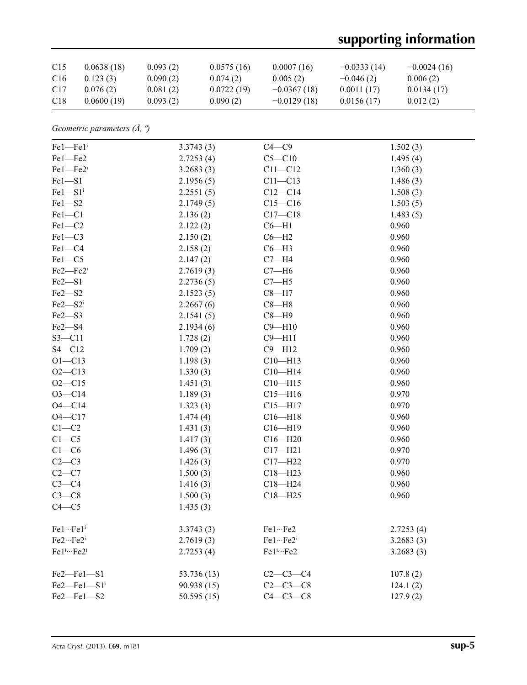# **supporting information**

| C <sub>15</sub> | 0.0638(18) | 0.093(2) | 0.0575(16) | 0.0007(16)    | $-0.0333(14)$ | $-0.0024(16)$ |
|-----------------|------------|----------|------------|---------------|---------------|---------------|
| C <sub>16</sub> | 0.123(3)   | 0.090(2) | 0.074(2)   | 0.005(2)      | $-0.046(2)$   | 0.006(2)      |
| C <sub>17</sub> | 0.076(2)   | 0.081(2) | 0.0722(19) | $-0.0367(18)$ | 0.0011(17)    | 0.0134(17)    |
| C18             | 0.0600(19) | 0.093(2) | 0.090(2)   | $-0.0129(18)$ | 0.0156(17)    | 0.012(2)      |

*Geometric parameters (Å, º)*

| $Fe1 - Fe1$ <sup>i</sup> | 3.3743(3)   | $C4 - C9$            | 1.502(3)  |
|--------------------------|-------------|----------------------|-----------|
| Fel-Fe2                  | 2.7253(4)   | $C5 - C10$           | 1.495(4)  |
| $Fe1 - Fe2i$             | 3.2683(3)   | $C11 - C12$          | 1.360(3)  |
| $Fe1 - S1$               | 2.1956(5)   | $C11 - C13$          | 1.486(3)  |
| $Fe1 - S1$ <sup>i</sup>  | 2.2551(5)   | $C12-C14$            | 1.508(3)  |
| $Fe1 - S2$               | 2.1749(5)   | $C15 - C16$          | 1.503(5)  |
| $Fe1-C1$                 | 2.136(2)    | $C17 - C18$          | 1.483(5)  |
| $Fe1-C2$                 | 2.122(2)    | $C6 - H1$            | 0.960     |
| $Fe1-C3$                 | 2.150(2)    | $C6 - H2$            | 0.960     |
| $Fe1 - C4$               | 2.158(2)    | $C6 - H3$            | 0.960     |
| $Fe1-C5$                 | 2.147(2)    | $C7 - H4$            | 0.960     |
| Fe2-Fe2i                 | 2.7619(3)   | $C7 - H6$            | 0.960     |
| $Fe2 - S1$               | 2.2736(5)   | $C7 - H5$            | 0.960     |
| $Fe2 - S2$               | 2.1523(5)   | $C8 - H7$            | 0.960     |
| $Fe2 - S2$ <sup>i</sup>  | 2.2667(6)   | $C8 - H8$            | 0.960     |
| $Fe2 - S3$               | 2.1541(5)   | $C8 - H9$            | 0.960     |
| $Fe2 - S4$               | 2.1934(6)   | $C9 - H10$           | 0.960     |
| $S3 - C11$               | 1.728(2)    | $C9 - H11$           | 0.960     |
| $S4 - C12$               | 1.709(2)    | $C9 - H12$           | 0.960     |
| $O1 - C13$               | 1.198(3)    | $C10 - H13$          | 0.960     |
| $O2 - C13$               | 1.330(3)    | $C10 - H14$          | 0.960     |
| $O2 - C15$               | 1.451(3)    | $C10$ —H15           | 0.960     |
| $O3 - C14$               | 1.189(3)    | $C15 - H16$          | 0.970     |
| $O4 - C14$               | 1.323(3)    | $C15 - H17$          | 0.970     |
| $O4 - C17$               | 1.474(4)    | $C16 - H18$          | 0.960     |
| $C1-C2$                  | 1.431(3)    | $C16 - H19$          | 0.960     |
| $C1 - C5$                | 1.417(3)    | $C16 - H20$          | 0.960     |
| $C1-C6$                  | 1.496(3)    | $C17 - H21$          | 0.970     |
| $C2-C3$                  | 1.426(3)    | $C17 - H22$          | 0.970     |
| $C2-C7$                  | 1.500(3)    | $C18 - H23$          | 0.960     |
| $C3-C4$                  | 1.416(3)    | $C18 - H24$          | 0.960     |
| $C3-C8$                  | 1.500(3)    | $C18 - H25$          | 0.960     |
| $C4 - C5$                | 1.435(3)    |                      |           |
| Fe1…Fe1 <sup>i</sup>     | 3.3743(3)   | Fe1…Fe2              | 2.7253(4) |
| Fe2…Fe2i                 | 2.7619(3)   | Fe1…Fe2 <sup>i</sup> | 3.2683(3) |
| $Fe1^{i}Fe2^{i}$         | 2.7253(4)   | $Fe1 \cdots Fe2$     | 3.2683(3) |
| Fe2-Fe1-S1               | 53.736 (13) | $C2-C3-C4$           | 107.8(2)  |
| $Fe2$ – $Fe1$ – $Sii$    | 90.938(15)  | $C2 - C3 - C8$       | 124.1(2)  |
| Fe2-Fe1-S2               | 50.595(15)  | $C4-C3-C8$           | 127.9(2)  |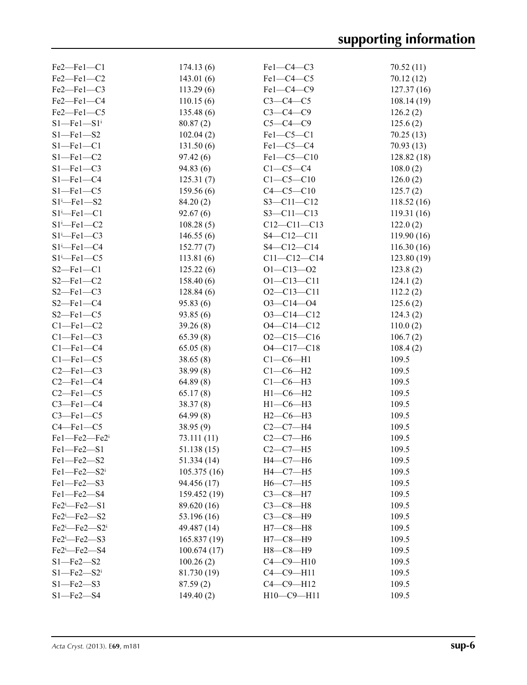| $Fe2$ — $Fe1$ — $Cl$          | 174.13(6)    | $Fe1-C4-C3$       | 70.52(11)   |
|-------------------------------|--------------|-------------------|-------------|
| Fe2-Fe1-C2                    | 143.01(6)    | $Fe1-C4-C5$       | 70.12 (12)  |
| $Fe2$ – $Fe1$ – $C3$          | 113.29(6)    | Fe1-C4-C9         | 127.37(16)  |
| Fe2-Fe1-C4                    | 110.15(6)    | $C3-C4-C5$        | 108.14(19)  |
| Fe2-Fe1-C5                    | 135.48(6)    | $C3-C4-C9$        | 126.2(2)    |
| $S1 - Fe1 - S1$ <sup>i</sup>  | 80.87(2)     | $C5-C4-C9$        | 125.6(2)    |
| $S1 - Fe1 - S2$               | 102.04(2)    | $Fe1-C5-C1$       | 70.25(13)   |
| $S1 - Fe1 - C1$               | 131.50(6)    | $Fe1-C5-C4$       | 70.93(13)   |
| $S1 - Fe1 - C2$               | 97.42(6)     | Fel-C5-C10        | 128.82(18)  |
| $S1 - Fe1 - C3$               | 94.83(6)     | $C1-C5-C4$        | 108.0(2)    |
| $S1 - Fe1 - C4$               | 125.31(7)    | $C1 - C5 - C10$   | 126.0(2)    |
| $S1 - Fe1 - C5$               | 159.56(6)    | $C4 - C5 - C10$   | 125.7(2)    |
| $S1 - Fe1 - S2$               | 84.20(2)     | $S3 - C11 - C12$  | 118.52(16)  |
| $S1 - Fe1 - C1$               | 92.67(6)     | $S3 - C11 - C13$  | 119.31(16)  |
|                               |              |                   |             |
| $S1 - Fe1 - C2$               | 108.28(5)    | $C12 - C11 - C13$ | 122.0(2)    |
| $S1 - Fe1 - C3$               | 146.55(6)    | $S4 - C12 - C11$  | 119.90(16)  |
| $S1 - Fe1 - C4$               | 152.77(7)    | $S4 - C12 - C14$  | 116.30(16)  |
| $S1 - Fe1 - C5$               | 113.81(6)    | $C11 - C12 - C14$ | 123.80 (19) |
| $S2-Fel$ -C1                  | 125.22(6)    | $O1 - C13 - O2$   | 123.8(2)    |
| $S2 - Fe1 - C2$               | 158.40(6)    | $O1 - C13 - C11$  | 124.1(2)    |
| $S2 - Fe1 - C3$               | 128.84(6)    | $O2 - C13 - C11$  | 112.2(2)    |
| $S2 - Fe1 - C4$               | 95.83(6)     | $O3 - C14 - O4$   | 125.6(2)    |
| $S2$ –Fel–C5                  | 93.85(6)     | $O3 - C14 - C12$  | 124.3(2)    |
| $C1 - Fe1 - C2$               | 39.26(8)     | $O4 - C14 - C12$  | 110.0(2)    |
| $Cl$ -Fel-C3                  | 65.39(8)     | $O2 - C15 - C16$  | 106.7(2)    |
| $Cl$ -Fel-C4                  | 65.05(8)     | $O4 - C17 - C18$  | 108.4(2)    |
| $Cl$ -Fel-C5                  | 38.65(8)     | $Cl$ - $C6$ -H1   | 109.5       |
| $C2$ -Fel-C3                  | 38.99(8)     | $C1-C6-H2$        | 109.5       |
| $C2$ -Fel- $C4$               | 64.89(8)     | $C1-C6-H3$        | 109.5       |
| $C2$ -Fel- $C5$               | 65.17(8)     | $H1-C6-H2$        | 109.5       |
| $C3$ -Fel- $C4$               | 38.37(8)     | $H1-C6-H3$        | 109.5       |
| $C3$ -Fel- $C5$               | 64.99(8)     | $H2-C6-H3$        | 109.5       |
| $C4 - Fe1 - C5$               | 38.95 (9)    | $C2-C7-H4$        | 109.5       |
| Fe1-Fe2-Fe2i                  | 73.111(11)   | $C2-C7-H6$        | 109.5       |
| $Fe1 - Fe2 - Si$              | 51.138 (15)  | $C2-C7-H5$        | 109.5       |
| $Fe1$ — $Fe2$ — $S2$          | 51.334(14)   | $H4-C7-H6$        | 109.5       |
| $Fe1 - Fe2 - S2$ <sup>i</sup> | 105.375(16)  | $H4-C7-H5$        | 109.5       |
| Fel-Fe2-S3                    | 94.456 (17)  | $H6-C7-H5$        | 109.5       |
| Fe1-Fe2-S4                    | 159.452 (19) | $C3-C8-H7$        | 109.5       |
| $Fe2^i$ -Fe2-S1               | 89.620 (16)  | $C3-C8-H8$        | 109.5       |
| $Fe2 - Fe2 - S2$              | 53.196 (16)  | $C3-C8-H9$        | 109.5       |
| $Fe2^i$ -Fe2- $S2^i$          | 49.487 (14)  | $H7-C8-H8$        | 109.5       |
| Fe2 <sup>i</sup> -Fe2-S3      | 165.837(19)  | $H7-C8-H9$        | 109.5       |
| Fe2 <sup>i</sup> -Fe2-S4      | 100.674(17)  | $H8-C8-H9$        | 109.5       |
| $S1 - Fe2 - S2$               | 100.26(2)    | $C4-C9-H10$       | 109.5       |
| $S1$ —Fe2—S2 <sup>i</sup>     | 81.730 (19)  | $C4-C9-H11$       | 109.5       |
| $S1 - Fe2 - S3$               | 87.59(2)     | $C4-C9-H12$       | 109.5       |
| $S1 - Fe2 - S4$               | 149.40(2)    | $H10-C9-H11$      | 109.5       |